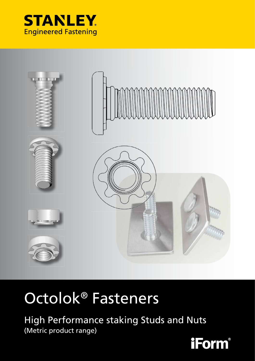



# Octolok® Fasteners

High Performance staking Studs and Nuts (Metric product range)

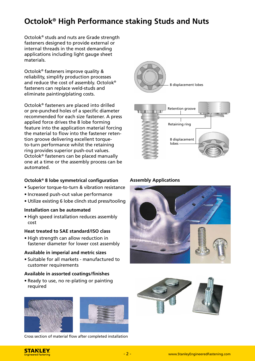# **Octolok® High Performance staking Studs and Nuts**

Octolok® studs and nuts are Grade strength fasteners designed to provide external or internal threads in the most demanding applications including light gauge sheet materials.

Octolok® fasteners improve quality & reliability, simplify production processes and reduce the cost of assembly. Octolok® fasteners can replace weld-studs and eliminate painting/plating costs.

Octolok® fasteners are placed into drilled or pre-punched holes of a specific diameter recom mended for each size fastener. A press applied force drives the 8 lobe forming feature into the application material forcing the material to flow into the fastener retention groove delivering excellent torqueto-turn performance whilst the retaining ring provides superior push-out values. Octolok® fasteners can be placed manually one at a time or the assembly process can be automated.

### **Octolok<sup>®</sup> 8 lobe symmetrical configuration Assembly Applications**

- Superior torque-to-turn & vibration resistance
- Increased push-out value performance
- Utilize existing 6 lobe clinch stud press/tooling

### **Installation can be automated**

• High speed installation reduces assembly cost

### **Heat treated to SAE standard/ISO class**

• High strength can allow reduction in fastener diameter for lower cost assembly

### **Available in imperial and metric sizes**

• Suitable for all markets - manufactured to customer requirements

### **Available in assorted coatings/finishes**

• Ready to use, no re-plating or painting required





Cross section of material flow after completed installation







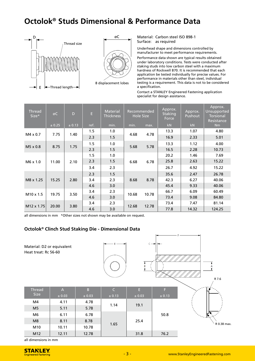# **Octolok® Studs Dimensional & Performance Data**





Material: Carbon steel ISO 898-1 Surface: as required

Underhead shape and dimensions controlled by manufacturer to meet performance requirements. Performance data shown are typical results obtained under laboratory conditions. Tests were conducted after staking studs into low carbon steel with a maximum hardness of Rockwell B70. It is recommended that each application be tested individually for precise values. For performance in materials other than steel, individual testing is a requirement. This data is not to be considered a specification.

Contact a STANLEY Engineered Fastening application specialist for design assistance.

| <b>Thread</b><br>Size* | øC     | D      | E    | Material<br><b>Thickness</b> | Recommended<br><b>Hole Size</b> |       | Approx.<br><b>Staking</b><br>Force | Approx.<br>Pushout | Approx.<br>Unsupported<br><b>Torsional</b><br>Resistance |
|------------------------|--------|--------|------|------------------------------|---------------------------------|-------|------------------------------------|--------------------|----------------------------------------------------------|
|                        | ± 0.25 | ± 0.13 | ref. | min.                         | min.                            | max.  | kN                                 | kN                 | <b>Nm</b>                                                |
| $M4 \times 0.7$        | 7.75   | 1.40   | 1.5  | 1.0                          | 4.68                            | 4.78  | 13.3                               | 1.07               | 4.80                                                     |
|                        |        |        | 2.3  | 1.5                          |                                 |       | 16.9                               | 2.33               | 5.01                                                     |
| M5 x 0.8               | 8.75   | 1.75   | 1.5  | 1.0                          | 5.68                            | 5.78  | 13.3                               | 1.12               | 4.00                                                     |
|                        |        |        | 2.3  | 1.5                          |                                 |       | 16.5                               | 2.28               | 10.73                                                    |
| M6 x 1.0               | 11.00  | 2.10   | 1.5  | 1.0                          | 6.68                            | 6.78  | 20.2                               | 1.46               | 7.69                                                     |
|                        |        |        | 2.3  | 1.5                          |                                 |       | 25.8                               | 2.63               | 15.22                                                    |
|                        |        |        | 3.4  | 2.3                          |                                 |       | 26.7                               | 4.92               | 15.22                                                    |
| M8 x 1.25              | 15.25  | 2.80   | 2.3  | 1.5                          | 8.68                            | 8.78  | 35.6                               | 2.47               | 26.78                                                    |
|                        |        |        | 3.4  | 2.3                          |                                 |       | 42.3                               | 6.27               | 40.06                                                    |
|                        |        |        | 4.6  | 3.0                          |                                 |       | 45.4                               | 9.33               | 40.06                                                    |
| $M10 \times 1.5$       | 19.75  | 3.50   | 3.4  | 2.3                          | 10.68                           | 10.78 | 66.7                               | 6.09               | 60.49                                                    |
|                        |        |        | 4.6  | 3.0                          |                                 |       | 73.4                               | 9.08               | 84.80                                                    |
| M12 x 1.75             | 20.00  | 3.80   | 3.4  | 2.3                          | 12.68                           | 12.78 | 73.4                               | 7.47               | 81.14                                                    |
|                        |        |        | 4.6  | 3.0                          |                                 |       | 77.8                               | 14.32              | 124.25                                                   |

all dimensions in mm \*Other sizes not shown may be available on request.

### **Octolok® Clinch Stud Staking Die - Dimensional Data**



all dimensions in mm